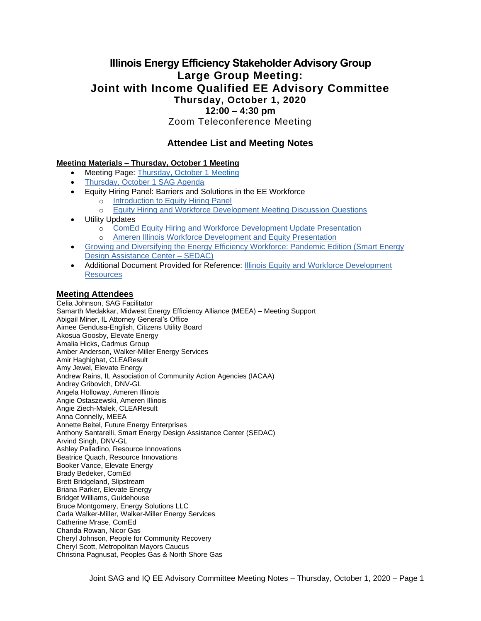# **Illinois Energy Efficiency Stakeholder Advisory Group Large Group Meeting: Joint with Income Qualified EE Advisory Committee Thursday, October 1, 2020 12:00 – 4:30 pm**

Zoom Teleconference Meeting

### **Attendee List and Meeting Notes**

#### **Meeting Materials – Thursday, October 1 Meeting**

- Meeting Page: [Thursday, October 1 Meeting](https://www.ilsag.info/event/thursday-october-1-sag-meeting/)
- [Thursday, October 1 SAG Agenda](https://ilsag.s3.amazonaws.com/SAG_Meeting-Joint-with-IQ-Committees_October-1-2020_Agenda_FINAL.pdf)
- Equity Hiring Panel: Barriers and Solutions in the EE Workforce
- o [Introduction to Equity Hiring Panel](https://ilsag.s3.amazonaws.com/Oct-1-SAG-Meeting_Equity-Hiring-Panel-Introductions_Final-1.pdf)
	- o [Equity Hiring and Workforce Development Meeting Discussion Questions](https://ilsag.s3.amazonaws.com/October-1-SAG-Meeting_Discussion-Questions_Final_9-18-2020.pdf)
- Utility Updates
	- o [ComEd Equity Hiring and Workforce Development Update Presentation](https://ilsag.s3.amazonaws.com/SAG-Meeting-Equity-and-Workforce-Development-ComEd-Presentation_10-1-2020.pdf)
	- o [Ameren Illinois Workforce Development and Equity Presentation](https://ilsag.s3.amazonaws.com/PY20-AIC-SAG-Workforce-Development-Presentation-FINAL.pdf)
- [Growing and Diversifying the Energy Efficiency Workforce: Pandemic Edition \(Smart Energy](https://ilsag.s3.amazonaws.com/SEDAC_SAG_Oct-1-2020_Mtg.pdf)  [Design Assistance Center –](https://ilsag.s3.amazonaws.com/SEDAC_SAG_Oct-1-2020_Mtg.pdf) SEDAC)
- Additional Document Provided for Reference: Illinois [Equity and Workforce Development](https://ilsag.s3.amazonaws.com/Equity-and-Workforce-Development-Resources_10-1-2020-SAG-Meeting_FINAL.pdf)  [Resources](https://ilsag.s3.amazonaws.com/Equity-and-Workforce-Development-Resources_10-1-2020-SAG-Meeting_FINAL.pdf)

#### **Meeting Attendees**

Celia Johnson, SAG Facilitator Samarth Medakkar, Midwest Energy Efficiency Alliance (MEEA) – Meeting Support Abigail Miner, IL Attorney General's Office Aimee Gendusa-English, Citizens Utility Board Akosua Goosby, Elevate Energy Amalia Hicks, Cadmus Group Amber Anderson, Walker-Miller Energy Services Amir Haghighat, CLEAResult Amy Jewel, Elevate Energy Andrew Rains, IL Association of Community Action Agencies (IACAA) Andrey Gribovich, DNV-GL Angela Holloway, Ameren Illinois Angie Ostaszewski, Ameren Illinois Angie Ziech-Malek, CLEAResult Anna Connelly, MEEA Annette Beitel, Future Energy Enterprises Anthony Santarelli, Smart Energy Design Assistance Center (SEDAC) Arvind Singh, DNV-GL Ashley Palladino, Resource Innovations Beatrice Quach, Resource Innovations Booker Vance, Elevate Energy Brady Bedeker, ComEd Brett Bridgeland, Slipstream Briana Parker, Elevate Energy Bridget Williams, Guidehouse Bruce Montgomery, Energy Solutions LLC Carla Walker-Miller, Walker-Miller Energy Services Catherine Mrase, ComEd Chanda Rowan, Nicor Gas Cheryl Johnson, People for Community Recovery Cheryl Scott, Metropolitan Mayors Caucus Christina Pagnusat, Peoples Gas & North Shore Gas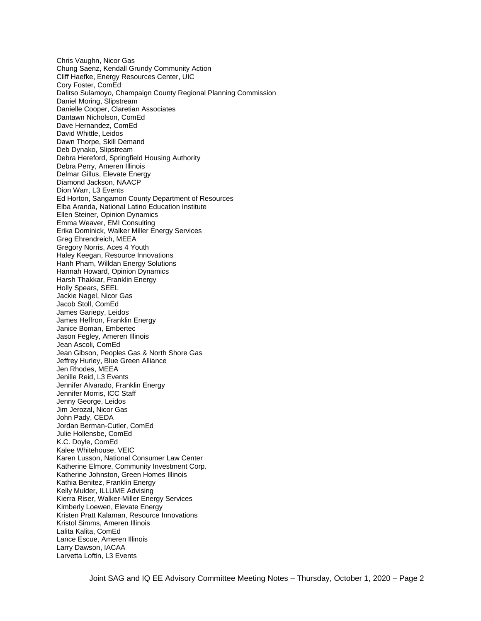Chris Vaughn, Nicor Gas Chung Saenz, Kendall Grundy Community Action Cliff Haefke, Energy Resources Center, UIC Cory Foster, ComEd Dalitso Sulamoyo, Champaign County Regional Planning Commission Daniel Moring, Slipstream Danielle Cooper, Claretian Associates Dantawn Nicholson, ComEd Dave Hernandez, ComEd David Whittle, Leidos Dawn Thorpe, Skill Demand Deb Dynako, Slipstream Debra Hereford, Springfield Housing Authority Debra Perry, Ameren Illinois Delmar Gillus, Elevate Energy Diamond Jackson, NAACP Dion Warr, L3 Events Ed Horton, Sangamon County Department of Resources Elba Aranda, National Latino Education Institute Ellen Steiner, Opinion Dynamics Emma Weaver, EMI Consulting Erika Dominick, Walker Miller Energy Services Greg Ehrendreich, MEEA Gregory Norris, Aces 4 Youth Haley Keegan, Resource Innovations Hanh Pham, Willdan Energy Solutions Hannah Howard, Opinion Dynamics Harsh Thakkar, Franklin Energy Holly Spears, SEEL Jackie Nagel, Nicor Gas Jacob Stoll, ComEd James Gariepy, Leidos James Heffron, Franklin Energy Janice Boman, Embertec Jason Fegley, Ameren Illinois Jean Ascoli, ComEd Jean Gibson, Peoples Gas & North Shore Gas Jeffrey Hurley, Blue Green Alliance Jen Rhodes, MEEA Jenille Reid, L3 Events Jennifer Alvarado, Franklin Energy Jennifer Morris, ICC Staff Jenny George, Leidos Jim Jerozal, Nicor Gas John Pady, CEDA Jordan Berman-Cutler, ComEd Julie Hollensbe, ComEd K.C. Doyle, ComEd Kalee Whitehouse, VEIC Karen Lusson, National Consumer Law Center Katherine Elmore, Community Investment Corp. Katherine Johnston, Green Homes Illinois Kathia Benitez, Franklin Energy Kelly Mulder, ILLUME Advising Kierra Riser, Walker-Miller Energy Services Kimberly Loewen, Elevate Energy Kristen Pratt Kalaman, Resource Innovations Kristol Simms, Ameren Illinois Lalita Kalita, ComEd Lance Escue, Ameren Illinois Larry Dawson, IACAA Larvetta Loftin, L3 Events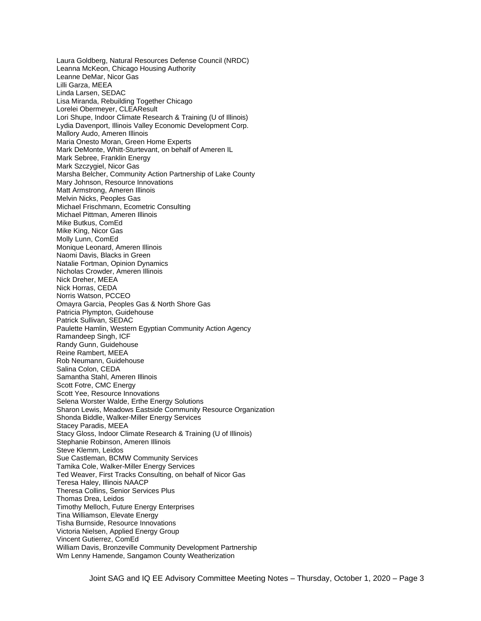Laura Goldberg, Natural Resources Defense Council (NRDC) Leanna McKeon, Chicago Housing Authority Leanne DeMar, Nicor Gas Lilli Garza, MEEA Linda Larsen, SEDAC Lisa Miranda, Rebuilding Together Chicago Lorelei Obermeyer, CLEAResult Lori Shupe, Indoor Climate Research & Training (U of Illinois) Lydia Davenport, Illinois Valley Economic Development Corp. Mallory Audo, Ameren Illinois Maria Onesto Moran, Green Home Experts Mark DeMonte, Whitt-Sturtevant, on behalf of Ameren IL Mark Sebree, Franklin Energy Mark Szczygiel, Nicor Gas Marsha Belcher, Community Action Partnership of Lake County Mary Johnson, Resource Innovations Matt Armstrong, Ameren Illinois Melvin Nicks, Peoples Gas Michael Frischmann, Ecometric Consulting Michael Pittman, Ameren Illinois Mike Butkus, ComEd Mike King, Nicor Gas Molly Lunn, ComEd Monique Leonard, Ameren Illinois Naomi Davis, Blacks in Green Natalie Fortman, Opinion Dynamics Nicholas Crowder, Ameren Illinois Nick Dreher, MEEA Nick Horras, CEDA Norris Watson, PCCEO Omayra Garcia, Peoples Gas & North Shore Gas Patricia Plympton, Guidehouse Patrick Sullivan, SEDAC Paulette Hamlin, Western Egyptian Community Action Agency Ramandeep Singh, ICF Randy Gunn, Guidehouse Reine Rambert, MEEA Rob Neumann, Guidehouse Salina Colon, CEDA Samantha Stahl, Ameren Illinois Scott Fotre, CMC Energy Scott Yee, Resource Innovations Selena Worster Walde, Erthe Energy Solutions Sharon Lewis, Meadows Eastside Community Resource Organization Shonda Biddle, Walker-Miller Energy Services Stacey Paradis, MEEA Stacy Gloss, Indoor Climate Research & Training (U of Illinois) Stephanie Robinson, Ameren Illinois Steve Klemm, Leidos Sue Castleman, BCMW Community Services Tamika Cole, Walker-Miller Energy Services Ted Weaver, First Tracks Consulting, on behalf of Nicor Gas Teresa Haley, Illinois NAACP Theresa Collins, Senior Services Plus Thomas Drea, Leidos Timothy Melloch, Future Energy Enterprises Tina Williamson, Elevate Energy Tisha Burnside, Resource Innovations Victoria Nielsen, Applied Energy Group Vincent Gutierrez, ComEd William Davis, Bronzeville Community Development Partnership Wm Lenny Hamende, Sangamon County Weatherization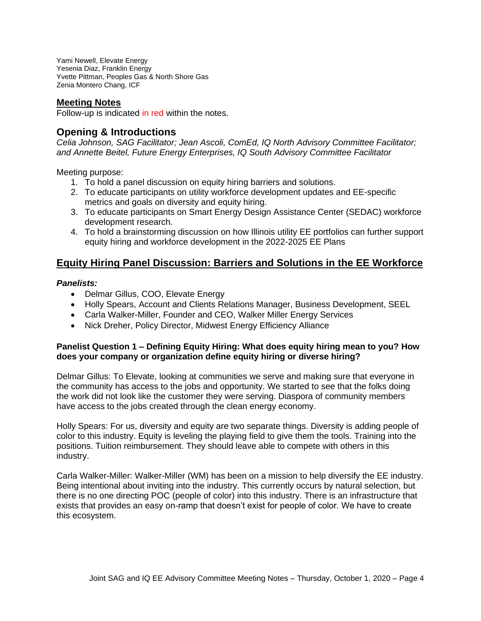Yami Newell, Elevate Energy Yesenia Diaz, Franklin Energy Yvette Pittman, Peoples Gas & North Shore Gas Zenia Montero Chang, ICF

### **Meeting Notes**

Follow-up is indicated in red within the notes.

# **Opening & Introductions**

*Celia Johnson, SAG Facilitator; Jean Ascoli, ComEd, IQ North Advisory Committee Facilitator; and Annette Beitel, Future Energy Enterprises, IQ South Advisory Committee Facilitator* 

Meeting purpose:

- 1. To hold a panel discussion on equity hiring barriers and solutions.
- 2. To educate participants on utility workforce development updates and EE-specific metrics and goals on diversity and equity hiring.
- 3. To educate participants on Smart Energy Design Assistance Center (SEDAC) workforce development research.
- 4. To hold a brainstorming discussion on how Illinois utility EE portfolios can further support equity hiring and workforce development in the 2022-2025 EE Plans

# **Equity Hiring Panel Discussion: Barriers and Solutions in the EE Workforce**

### *Panelists:*

- Delmar Gillus, COO, Elevate Energy
- Holly Spears, Account and Clients Relations Manager, Business Development, SEEL
- Carla Walker-Miller, Founder and CEO, Walker Miller Energy Services
- Nick Dreher, Policy Director, Midwest Energy Efficiency Alliance

#### **Panelist Question 1 – Defining Equity Hiring: What does equity hiring mean to you? How does your company or organization define equity hiring or diverse hiring?**

Delmar Gillus: To Elevate, looking at communities we serve and making sure that everyone in the community has access to the jobs and opportunity. We started to see that the folks doing the work did not look like the customer they were serving. Diaspora of community members have access to the jobs created through the clean energy economy.

Holly Spears: For us, diversity and equity are two separate things. Diversity is adding people of color to this industry. Equity is leveling the playing field to give them the tools. Training into the positions. Tuition reimbursement. They should leave able to compete with others in this industry.

Carla Walker-Miller: Walker-Miller (WM) has been on a mission to help diversify the EE industry. Being intentional about inviting into the industry. This currently occurs by natural selection, but there is no one directing POC (people of color) into this industry. There is an infrastructure that exists that provides an easy on-ramp that doesn't exist for people of color. We have to create this ecosystem.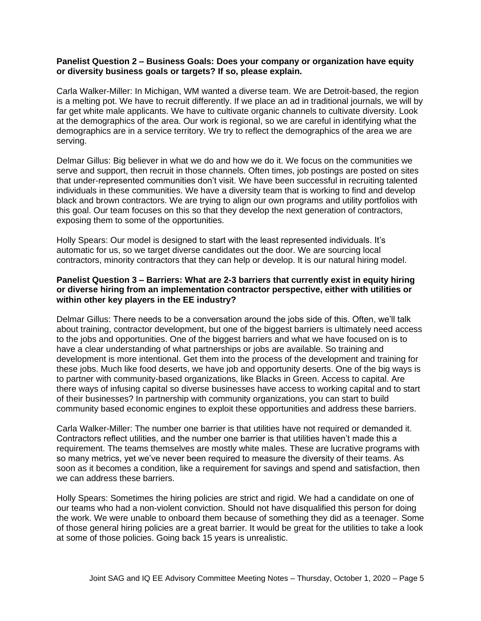#### **Panelist Question 2 – Business Goals: Does your company or organization have equity or diversity business goals or targets? If so, please explain.**

Carla Walker-Miller: In Michigan, WM wanted a diverse team. We are Detroit-based, the region is a melting pot. We have to recruit differently. If we place an ad in traditional journals, we will by far get white male applicants. We have to cultivate organic channels to cultivate diversity. Look at the demographics of the area. Our work is regional, so we are careful in identifying what the demographics are in a service territory. We try to reflect the demographics of the area we are serving.

Delmar Gillus: Big believer in what we do and how we do it. We focus on the communities we serve and support, then recruit in those channels. Often times, job postings are posted on sites that under-represented communities don't visit. We have been successful in recruiting talented individuals in these communities. We have a diversity team that is working to find and develop black and brown contractors. We are trying to align our own programs and utility portfolios with this goal. Our team focuses on this so that they develop the next generation of contractors, exposing them to some of the opportunities.

Holly Spears: Our model is designed to start with the least represented individuals. It's automatic for us, so we target diverse candidates out the door. We are sourcing local contractors, minority contractors that they can help or develop. It is our natural hiring model.

#### **Panelist Question 3 – Barriers: What are 2-3 barriers that currently exist in equity hiring or diverse hiring from an implementation contractor perspective, either with utilities or within other key players in the EE industry?**

Delmar Gillus: There needs to be a conversation around the jobs side of this. Often, we'll talk about training, contractor development, but one of the biggest barriers is ultimately need access to the jobs and opportunities. One of the biggest barriers and what we have focused on is to have a clear understanding of what partnerships or jobs are available. So training and development is more intentional. Get them into the process of the development and training for these jobs. Much like food deserts, we have job and opportunity deserts. One of the big ways is to partner with community-based organizations, like Blacks in Green. Access to capital. Are there ways of infusing capital so diverse businesses have access to working capital and to start of their businesses? In partnership with community organizations, you can start to build community based economic engines to exploit these opportunities and address these barriers.

Carla Walker-Miller: The number one barrier is that utilities have not required or demanded it. Contractors reflect utilities, and the number one barrier is that utilities haven't made this a requirement. The teams themselves are mostly white males. These are lucrative programs with so many metrics, yet we've never been required to measure the diversity of their teams. As soon as it becomes a condition, like a requirement for savings and spend and satisfaction, then we can address these barriers.

Holly Spears: Sometimes the hiring policies are strict and rigid. We had a candidate on one of our teams who had a non-violent conviction. Should not have disqualified this person for doing the work. We were unable to onboard them because of something they did as a teenager. Some of those general hiring policies are a great barrier. It would be great for the utilities to take a look at some of those policies. Going back 15 years is unrealistic.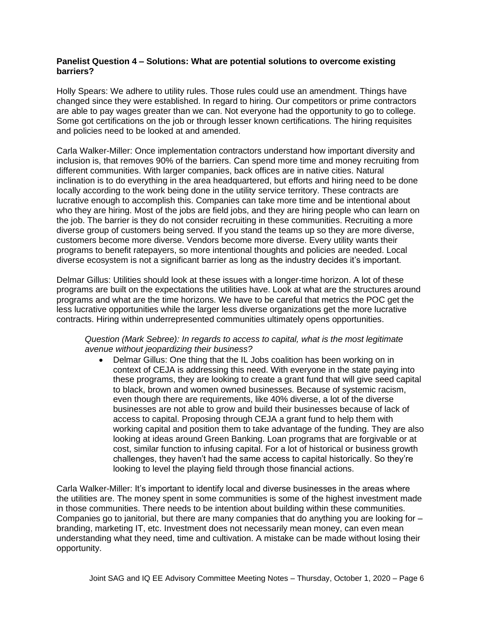### **Panelist Question 4 – Solutions: What are potential solutions to overcome existing barriers?**

Holly Spears: We adhere to utility rules. Those rules could use an amendment. Things have changed since they were established. In regard to hiring. Our competitors or prime contractors are able to pay wages greater than we can. Not everyone had the opportunity to go to college. Some got certifications on the job or through lesser known certifications. The hiring requisites and policies need to be looked at and amended.

Carla Walker-Miller: Once implementation contractors understand how important diversity and inclusion is, that removes 90% of the barriers. Can spend more time and money recruiting from different communities. With larger companies, back offices are in native cities. Natural inclination is to do everything in the area headquartered, but efforts and hiring need to be done locally according to the work being done in the utility service territory. These contracts are lucrative enough to accomplish this. Companies can take more time and be intentional about who they are hiring. Most of the jobs are field jobs, and they are hiring people who can learn on the job. The barrier is they do not consider recruiting in these communities. Recruiting a more diverse group of customers being served. If you stand the teams up so they are more diverse, customers become more diverse. Vendors become more diverse. Every utility wants their programs to benefit ratepayers, so more intentional thoughts and policies are needed. Local diverse ecosystem is not a significant barrier as long as the industry decides it's important.

Delmar Gillus: Utilities should look at these issues with a longer-time horizon. A lot of these programs are built on the expectations the utilities have. Look at what are the structures around programs and what are the time horizons. We have to be careful that metrics the POC get the less lucrative opportunities while the larger less diverse organizations get the more lucrative contracts. Hiring within underrepresented communities ultimately opens opportunities.

*Question (Mark Sebree): In regards to access to capital, what is the most legitimate avenue without jeopardizing their business?*

• Delmar Gillus: One thing that the IL Jobs coalition has been working on in context of CEJA is addressing this need. With everyone in the state paying into these programs, they are looking to create a grant fund that will give seed capital to black, brown and women owned businesses. Because of systemic racism, even though there are requirements, like 40% diverse, a lot of the diverse businesses are not able to grow and build their businesses because of lack of access to capital. Proposing through CEJA a grant fund to help them with working capital and position them to take advantage of the funding. They are also looking at ideas around Green Banking. Loan programs that are forgivable or at cost, similar function to infusing capital. For a lot of historical or business growth challenges, they haven't had the same access to capital historically. So they're looking to level the playing field through those financial actions.

Carla Walker-Miller: It's important to identify local and diverse businesses in the areas where the utilities are. The money spent in some communities is some of the highest investment made in those communities. There needs to be intention about building within these communities. Companies go to janitorial, but there are many companies that do anything you are looking for – branding, marketing IT, etc. Investment does not necessarily mean money, can even mean understanding what they need, time and cultivation. A mistake can be made without losing their opportunity.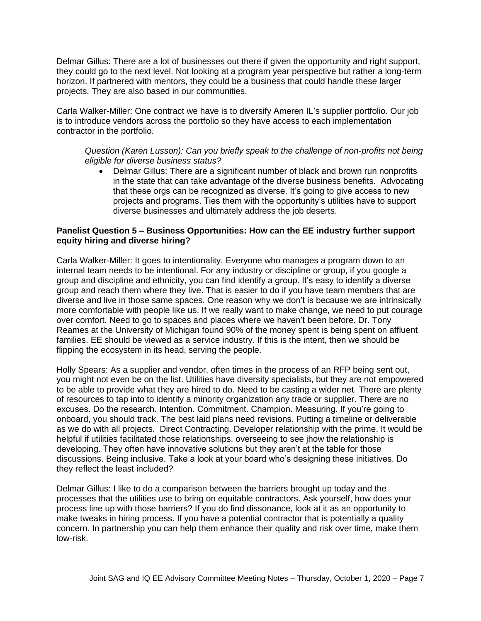Delmar Gillus: There are a lot of businesses out there if given the opportunity and right support, they could go to the next level. Not looking at a program year perspective but rather a long-term horizon. If partnered with mentors, they could be a business that could handle these larger projects. They are also based in our communities.

Carla Walker-Miller: One contract we have is to diversify Ameren IL's supplier portfolio. Our job is to introduce vendors across the portfolio so they have access to each implementation contractor in the portfolio.

### *Question (Karen Lusson): Can you briefly speak to the challenge of non-profits not being eligible for diverse business status?*

• Delmar Gillus: There are a significant number of black and brown run nonprofits in the state that can take advantage of the diverse business benefits. Advocating that these orgs can be recognized as diverse. It's going to give access to new projects and programs. Ties them with the opportunity's utilities have to support diverse businesses and ultimately address the job deserts.

#### **Panelist Question 5 – Business Opportunities: How can the EE industry further support equity hiring and diverse hiring?**

Carla Walker-Miller: It goes to intentionality. Everyone who manages a program down to an internal team needs to be intentional. For any industry or discipline or group, if you google a group and discipline and ethnicity, you can find identify a group. It's easy to identify a diverse group and reach them where they live. That is easier to do if you have team members that are diverse and live in those same spaces. One reason why we don't is because we are intrinsically more comfortable with people like us. If we really want to make change, we need to put courage over comfort. Need to go to spaces and places where we haven't been before. Dr. Tony Reames at the University of Michigan found 90% of the money spent is being spent on affluent families. EE should be viewed as a service industry. If this is the intent, then we should be flipping the ecosystem in its head, serving the people.

Holly Spears: As a supplier and vendor, often times in the process of an RFP being sent out, you might not even be on the list. Utilities have diversity specialists, but they are not empowered to be able to provide what they are hired to do. Need to be casting a wider net. There are plenty of resources to tap into to identify a minority organization any trade or supplier. There are no excuses. Do the research. Intention. Commitment. Champion. Measuring. If you're going to onboard, you should track. The best laid plans need revisions. Putting a timeline or deliverable as we do with all projects. Direct Contracting. Developer relationship with the prime. It would be helpful if utilities facilitated those relationships, overseeing to see jhow the relationship is developing. They often have innovative solutions but they aren't at the table for those discussions. Being inclusive. Take a look at your board who's designing these initiatives. Do they reflect the least included?

Delmar Gillus: I like to do a comparison between the barriers brought up today and the processes that the utilities use to bring on equitable contractors. Ask yourself, how does your process line up with those barriers? If you do find dissonance, look at it as an opportunity to make tweaks in hiring process. If you have a potential contractor that is potentially a quality concern. In partnership you can help them enhance their quality and risk over time, make them low-risk.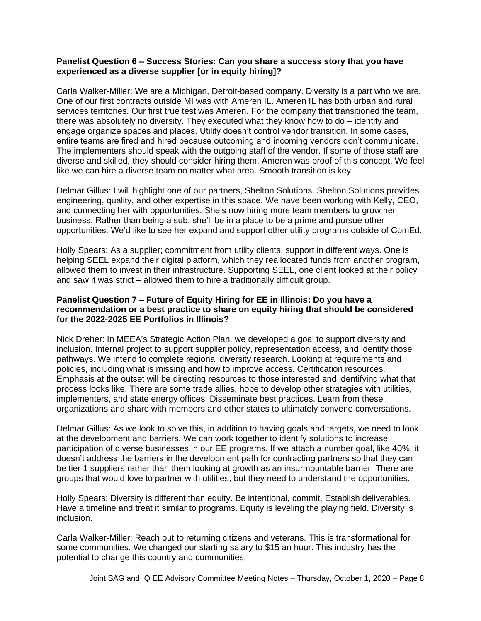#### **Panelist Question 6 – Success Stories: Can you share a success story that you have experienced as a diverse supplier [or in equity hiring]?**

Carla Walker-Miller: We are a Michigan, Detroit-based company. Diversity is a part who we are. One of our first contracts outside MI was with Ameren IL. Ameren IL has both urban and rural services territories. Our first true test was Ameren. For the company that transitioned the team, there was absolutely no diversity. They executed what they know how to do – identify and engage organize spaces and places. Utility doesn't control vendor transition. In some cases, entire teams are fired and hired because outcoming and incoming vendors don't communicate. The implementers should speak with the outgoing staff of the vendor. If some of those staff are diverse and skilled, they should consider hiring them. Ameren was proof of this concept. We feel like we can hire a diverse team no matter what area. Smooth transition is key.

Delmar Gillus: I will highlight one of our partners, Shelton Solutions. Shelton Solutions provides engineering, quality, and other expertise in this space. We have been working with Kelly, CEO, and connecting her with opportunities. She's now hiring more team members to grow her business. Rather than being a sub, she'll be in a place to be a prime and pursue other opportunities. We'd like to see her expand and support other utility programs outside of ComEd.

Holly Spears: As a supplier; commitment from utility clients, support in different ways. One is helping SEEL expand their digital platform, which they reallocated funds from another program, allowed them to invest in their infrastructure. Supporting SEEL, one client looked at their policy and saw it was strict – allowed them to hire a traditionally difficult group.

### **Panelist Question 7 – Future of Equity Hiring for EE in Illinois: Do you have a recommendation or a best practice to share on equity hiring that should be considered for the 2022-2025 EE Portfolios in Illinois?**

Nick Dreher: In MEEA's Strategic Action Plan, we developed a goal to support diversity and inclusion. Internal project to support supplier policy, representation access, and identify those pathways. We intend to complete regional diversity research. Looking at requirements and policies, including what is missing and how to improve access. Certification resources. Emphasis at the outset will be directing resources to those interested and identifying what that process looks like. There are some trade allies, hope to develop other strategies with utilities, implementers, and state energy offices. Disseminate best practices. Learn from these organizations and share with members and other states to ultimately convene conversations.

Delmar Gillus: As we look to solve this, in addition to having goals and targets, we need to look at the development and barriers. We can work together to identify solutions to increase participation of diverse businesses in our EE programs. If we attach a number goal, like 40%, it doesn't address the barriers in the development path for contracting partners so that they can be tier 1 suppliers rather than them looking at growth as an insurmountable barrier. There are groups that would love to partner with utilities, but they need to understand the opportunities.

Holly Spears: Diversity is different than equity. Be intentional, commit. Establish deliverables. Have a timeline and treat it similar to programs. Equity is leveling the playing field. Diversity is inclusion.

Carla Walker-Miller: Reach out to returning citizens and veterans. This is transformational for some communities. We changed our starting salary to \$15 an hour. This industry has the potential to change this country and communities.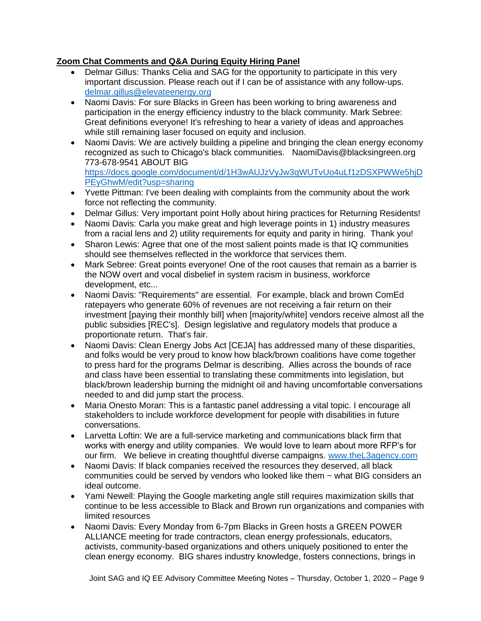## **Zoom Chat Comments and Q&A During Equity Hiring Panel**

- Delmar Gillus: Thanks Celia and SAG for the opportunity to participate in this very important discussion. Please reach out if I can be of assistance with any follow-ups. [delmar.gillus@elevateenergy.org](mailto:delmar.gillus@elevateenergy.org)
- Naomi Davis: For sure Blacks in Green has been working to bring awareness and participation in the energy efficiency industry to the black community. Mark Sebree: Great definitions everyone! It's refreshing to hear a variety of ideas and approaches while still remaining laser focused on equity and inclusion.
- Naomi Davis: We are actively building a pipeline and bringing the clean energy economy recognized as such to Chicago's black communities. NaomiDavis@blacksingreen.org 773-678-9541 ABOUT BIG [https://docs.google.com/document/d/1H3wAUJzVyJw3qWUTvUo4uLf1zDSXPWWe5hjD](https://docs.google.com/document/d/1H3wAUJzVyJw3qWUTvUo4uLf1zDSXPWWe5hjDPEyGhwM/edit?usp=sharing) [PEyGhwM/edit?usp=sharing](https://docs.google.com/document/d/1H3wAUJzVyJw3qWUTvUo4uLf1zDSXPWWe5hjDPEyGhwM/edit?usp=sharing)
- Yvette Pittman: I've been dealing with complaints from the community about the work force not reflecting the community.
- Delmar Gillus: Very important point Holly about hiring practices for Returning Residents!
- Naomi Davis: Carla you make great and high leverage points in 1) industry measures from a racial lens and 2) utility requirements for equity and parity in hiring. Thank you!
- Sharon Lewis: Agree that one of the most salient points made is that IQ communities should see themselves reflected in the workforce that services them.
- Mark Sebree: Great points everyone! One of the root causes that remain as a barrier is the NOW overt and vocal disbelief in system racism in business, workforce development, etc...
- Naomi Davis: "Requirements" are essential. For example, black and brown ComEd ratepayers who generate 60% of revenues are not receiving a fair return on their investment [paying their monthly bill] when [majority/white] vendors receive almost all the public subsidies [REC's]. Design legislative and regulatory models that produce a proportionate return. That's fair.
- Naomi Davis: Clean Energy Jobs Act [CEJA] has addressed many of these disparities, and folks would be very proud to know how black/brown coalitions have come together to press hard for the programs Delmar is describing. Allies across the bounds of race and class have been essential to translating these commitments into legislation, but black/brown leadership burning the midnight oil and having uncomfortable conversations needed to and did jump start the process.
- Maria Onesto Moran: This is a fantastic panel addressing a vital topic. I encourage all stakeholders to include workforce development for people with disabilities in future conversations.
- Larvetta Loftin: We are a full-service marketing and communications black firm that works with energy and utility companies. We would love to learn about more RFP's for our firm. We believe in creating thoughtful diverse campaigns. [www.theL3agency.com](http://www.thel3agency.com/)
- Naomi Davis: If black companies received the resources they deserved, all black communities could be served by vendors who looked like them ~ what BIG considers an ideal outcome.
- Yami Newell: Playing the Google marketing angle still requires maximization skills that continue to be less accessible to Black and Brown run organizations and companies with limited resources
- Naomi Davis: Every Monday from 6-7pm Blacks in Green hosts a GREEN POWER ALLIANCE meeting for trade contractors, clean energy professionals, educators, activists, community-based organizations and others uniquely positioned to enter the clean energy economy. BIG shares industry knowledge, fosters connections, brings in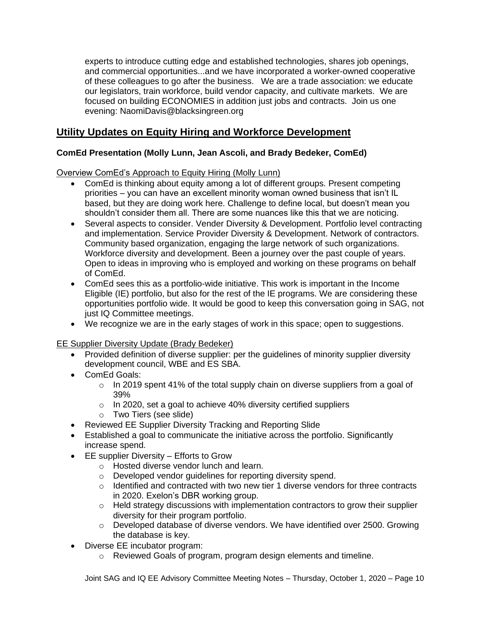experts to introduce cutting edge and established technologies, shares job openings, and commercial opportunities...and we have incorporated a worker-owned cooperative of these colleagues to go after the business. We are a trade association: we educate our legislators, train workforce, build vendor capacity, and cultivate markets. We are focused on building ECONOMIES in addition just jobs and contracts. Join us one evening: NaomiDavis@blacksingreen.org

# **Utility Updates on Equity Hiring and Workforce Development**

## **ComEd Presentation (Molly Lunn, Jean Ascoli, and Brady Bedeker, ComEd)**

Overview ComEd's Approach to Equity Hiring (Molly Lunn)

- ComEd is thinking about equity among a lot of different groups. Present competing priorities – you can have an excellent minority woman owned business that isn't IL based, but they are doing work here. Challenge to define local, but doesn't mean you shouldn't consider them all. There are some nuances like this that we are noticing.
- Several aspects to consider. Vender Diversity & Development. Portfolio level contracting and implementation. Service Provider Diversity & Development. Network of contractors. Community based organization, engaging the large network of such organizations. Workforce diversity and development. Been a journey over the past couple of years. Open to ideas in improving who is employed and working on these programs on behalf of ComEd.
- ComEd sees this as a portfolio-wide initiative. This work is important in the Income Eligible (IE) portfolio, but also for the rest of the IE programs. We are considering these opportunities portfolio wide. It would be good to keep this conversation going in SAG, not just IQ Committee meetings.
- We recognize we are in the early stages of work in this space; open to suggestions.

EE Supplier Diversity Update (Brady Bedeker)

- Provided definition of diverse supplier: per the guidelines of minority supplier diversity development council, WBE and ES SBA.
- ComEd Goals:
	- $\circ$  In 2019 spent 41% of the total supply chain on diverse suppliers from a goal of 39%
	- $\circ$  In 2020, set a goal to achieve 40% diversity certified suppliers
	- o Two Tiers (see slide)
- Reviewed EE Supplier Diversity Tracking and Reporting Slide
- Established a goal to communicate the initiative across the portfolio. Significantly increase spend.
- EE supplier Diversity Efforts to Grow
	- o Hosted diverse vendor lunch and learn.
	- o Developed vendor guidelines for reporting diversity spend.
	- o Identified and contracted with two new tier 1 diverse vendors for three contracts in 2020. Exelon's DBR working group.
	- $\circ$  Held strategy discussions with implementation contractors to grow their supplier diversity for their program portfolio.
	- $\circ$  Developed database of diverse vendors. We have identified over 2500. Growing the database is key.
- Diverse EE incubator program:
	- o Reviewed Goals of program, program design elements and timeline.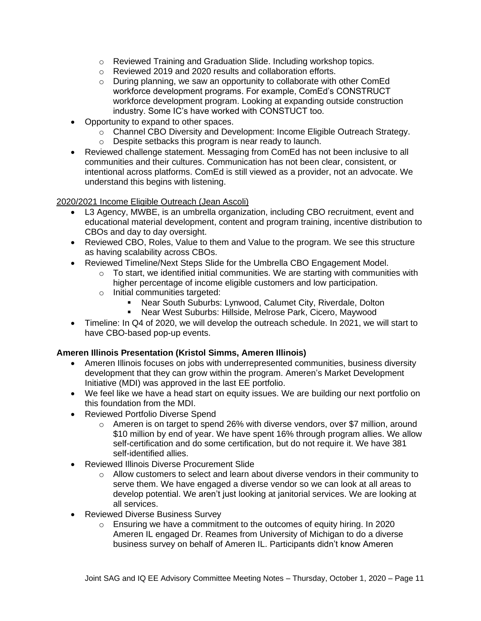- o Reviewed Training and Graduation Slide. Including workshop topics.
- o Reviewed 2019 and 2020 results and collaboration efforts.
- o During planning, we saw an opportunity to collaborate with other ComEd workforce development programs. For example, ComEd's CONSTRUCT workforce development program. Looking at expanding outside construction industry. Some IC's have worked with CONSTUCT too.
- Opportunity to expand to other spaces.
	- o Channel CBO Diversity and Development: Income Eligible Outreach Strategy.
	- o Despite setbacks this program is near ready to launch.
- Reviewed challenge statement. Messaging from ComEd has not been inclusive to all communities and their cultures. Communication has not been clear, consistent, or intentional across platforms. ComEd is still viewed as a provider, not an advocate. We understand this begins with listening.

### 2020/2021 Income Eligible Outreach (Jean Ascoli)

- L3 Agency, MWBE, is an umbrella organization, including CBO recruitment, event and educational material development, content and program training, incentive distribution to CBOs and day to day oversight.
- Reviewed CBO, Roles, Value to them and Value to the program. We see this structure as having scalability across CBOs.
- Reviewed Timeline/Next Steps Slide for the Umbrella CBO Engagement Model.
	- $\circ$  To start, we identified initial communities. We are starting with communities with higher percentage of income eligible customers and low participation.
	- o Initial communities targeted:
		- Near South Suburbs: Lynwood, Calumet City, Riverdale, Dolton
		- Near West Suburbs: Hillside, Melrose Park, Cicero, Maywood
- Timeline: In Q4 of 2020, we will develop the outreach schedule. In 2021, we will start to have CBO-based pop-up events.

## **Ameren Illinois Presentation (Kristol Simms, Ameren Illinois)**

- Ameren Illinois focuses on jobs with underrepresented communities, business diversity development that they can grow within the program. Ameren's Market Development Initiative (MDI) was approved in the last EE portfolio.
- We feel like we have a head start on equity issues. We are building our next portfolio on this foundation from the MDI.
- Reviewed Portfolio Diverse Spend
	- o Ameren is on target to spend 26% with diverse vendors, over \$7 million, around \$10 million by end of year. We have spent 16% through program allies. We allow self-certification and do some certification, but do not require it. We have 381 self-identified allies.
- Reviewed Illinois Diverse Procurement Slide
	- $\circ$  Allow customers to select and learn about diverse vendors in their community to serve them. We have engaged a diverse vendor so we can look at all areas to develop potential. We aren't just looking at janitorial services. We are looking at all services.
- Reviewed Diverse Business Survey
	- $\circ$  Ensuring we have a commitment to the outcomes of equity hiring. In 2020 Ameren IL engaged Dr. Reames from University of Michigan to do a diverse business survey on behalf of Ameren IL. Participants didn't know Ameren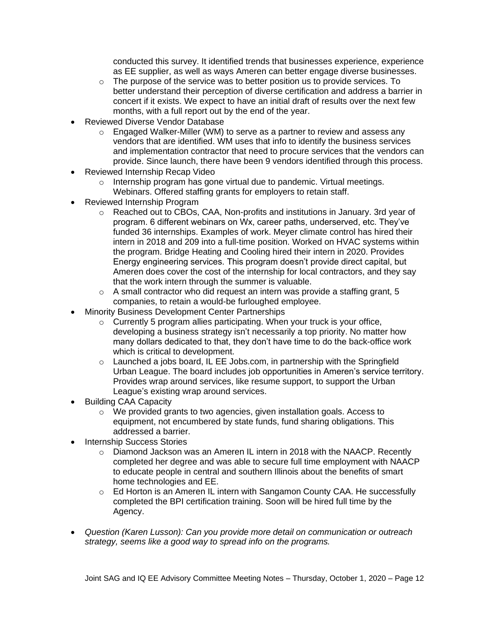conducted this survey. It identified trends that businesses experience, experience as EE supplier, as well as ways Ameren can better engage diverse businesses.

- $\circ$  The purpose of the service was to better position us to provide services. To better understand their perception of diverse certification and address a barrier in concert if it exists. We expect to have an initial draft of results over the next few months, with a full report out by the end of the year.
- Reviewed Diverse Vendor Database
	- $\circ$  Engaged Walker-Miller (WM) to serve as a partner to review and assess any vendors that are identified. WM uses that info to identify the business services and implementation contractor that need to procure services that the vendors can provide. Since launch, there have been 9 vendors identified through this process.
- Reviewed Internship Recap Video
	- o Internship program has gone virtual due to pandemic. Virtual meetings. Webinars. Offered staffing grants for employers to retain staff.
- Reviewed Internship Program
	- o Reached out to CBOs, CAA, Non-profits and institutions in January. 3rd year of program. 6 different webinars on Wx, career paths, underserved, etc. They've funded 36 internships. Examples of work. Meyer climate control has hired their intern in 2018 and 209 into a full-time position. Worked on HVAC systems within the program. Bridge Heating and Cooling hired their intern in 2020. Provides Energy engineering services. This program doesn't provide direct capital, but Ameren does cover the cost of the internship for local contractors, and they say that the work intern through the summer is valuable.
	- $\circ$  A small contractor who did request an intern was provide a staffing grant, 5 companies, to retain a would-be furloughed employee.
- Minority Business Development Center Partnerships
	- o Currently 5 program allies participating. When your truck is your office, developing a business strategy isn't necessarily a top priority. No matter how many dollars dedicated to that, they don't have time to do the back-office work which is critical to development.
	- $\circ$  Launched a jobs board, IL EE Jobs.com, in partnership with the Springfield Urban League. The board includes job opportunities in Ameren's service territory. Provides wrap around services, like resume support, to support the Urban League's existing wrap around services.
- Building CAA Capacity
	- o We provided grants to two agencies, given installation goals. Access to equipment, not encumbered by state funds, fund sharing obligations. This addressed a barrier.
- Internship Success Stories
	- $\circ$  Diamond Jackson was an Ameren IL intern in 2018 with the NAACP. Recently completed her degree and was able to secure full time employment with NAACP to educate people in central and southern Illinois about the benefits of smart home technologies and EE.
	- o Ed Horton is an Ameren IL intern with Sangamon County CAA. He successfully completed the BPI certification training. Soon will be hired full time by the Agency.
- *Question (Karen Lusson): Can you provide more detail on communication or outreach strategy, seems like a good way to spread info on the programs.*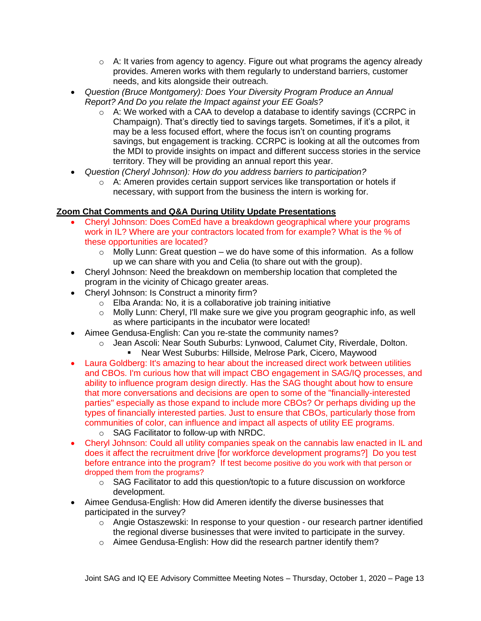- $\circ$  A: It varies from agency to agency. Figure out what programs the agency already provides. Ameren works with them regularly to understand barriers, customer needs, and kits alongside their outreach.
- *Question (Bruce Montgomery): Does Your Diversity Program Produce an Annual Report? And Do you relate the Impact against your EE Goals?*
	- $\circ$  A: We worked with a CAA to develop a database to identify savings (CCRPC in Champaign). That's directly tied to savings targets. Sometimes, if it's a pilot, it may be a less focused effort, where the focus isn't on counting programs savings, but engagement is tracking. CCRPC is looking at all the outcomes from the MDI to provide insights on impact and different success stories in the service territory. They will be providing an annual report this year.
- *Question (Cheryl Johnson): How do you address barriers to participation?* 
	- o A: Ameren provides certain support services like transportation or hotels if necessary, with support from the business the intern is working for.

## **Zoom Chat Comments and Q&A During Utility Update Presentations**

- Cheryl Johnson: Does ComEd have a breakdown geographical where your programs work in IL? Where are your contractors located from for example? What is the % of these opportunities are located?
	- $\circ$  Molly Lunn: Great question we do have some of this information. As a follow up we can share with you and Celia (to share out with the group).
- Cheryl Johnson: Need the breakdown on membership location that completed the program in the vicinity of Chicago greater areas.
- Cheryl Johnson: Is Construct a minority firm?
	- $\circ$  Elba Aranda: No, it is a collaborative job training initiative
	- $\circ$  Molly Lunn: Cheryl, I'll make sure we give you program geographic info, as well as where participants in the incubator were located!
- Aimee Gendusa-English: Can you re-state the community names?
	- o Jean Ascoli: Near South Suburbs: Lynwood, Calumet City, Riverdale, Dolton.
		- Near West Suburbs: Hillside, Melrose Park, Cicero, Maywood
- Laura Goldberg: It's amazing to hear about the increased direct work between utilities and CBOs. I'm curious how that will impact CBO engagement in SAG/IQ processes, and ability to influence program design directly. Has the SAG thought about how to ensure that more conversations and decisions are open to some of the "financially-interested parties" especially as those expand to include more CBOs? Or perhaps dividing up the types of financially interested parties. Just to ensure that CBOs, particularly those from communities of color, can influence and impact all aspects of utility EE programs.
	- o SAG Facilitator to follow-up with NRDC.
- Cheryl Johnson: Could all utility companies speak on the cannabis law enacted in IL and does it affect the recruitment drive [for workforce development programs?] Do you test before entrance into the program? If test become positive do you work with that person or dropped them from the programs?
	- $\circ$  SAG Facilitator to add this question/topic to a future discussion on workforce development.
- Aimee Gendusa-English: How did Ameren identify the diverse businesses that participated in the survey?
	- $\circ$  Angie Ostaszewski: In response to your question our research partner identified the regional diverse businesses that were invited to participate in the survey.
	- o Aimee Gendusa-English: How did the research partner identify them?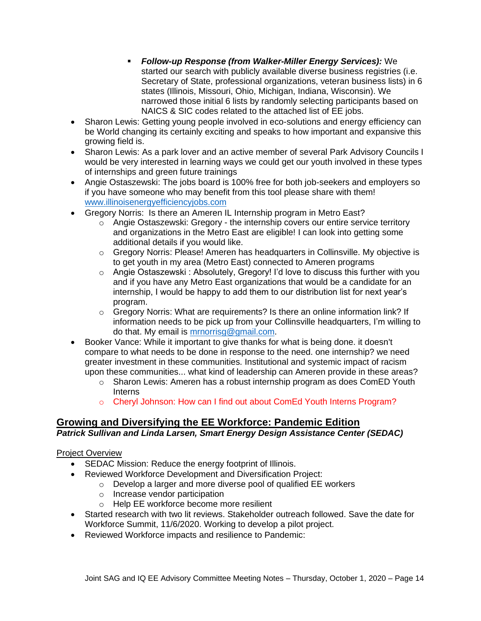- *Follow-up Response (from Walker-Miller Energy Services):* We started our search with publicly available diverse business registries (i.e. Secretary of State, professional organizations, veteran business lists) in 6 states (Illinois, Missouri, Ohio, Michigan, Indiana, Wisconsin). We narrowed those initial 6 lists by randomly selecting participants based on NAICS & SIC codes related to the attached list of EE jobs.
- Sharon Lewis: Getting young people involved in eco-solutions and energy efficiency can be World changing its certainly exciting and speaks to how important and expansive this growing field is.
- Sharon Lewis: As a park lover and an active member of several Park Advisory Councils I would be very interested in learning ways we could get our youth involved in these types of internships and green future trainings
- Angie Ostaszewski: The jobs board is 100% free for both job-seekers and employers so if you have someone who may benefit from this tool please share with them! [www.illinoisenergyefficiencyjobs.com](http://www.illinoisenergyefficiencyjobs.com/)
- Gregory Norris: Is there an Ameren IL Internship program in Metro East?
	- $\circ$  Angie Ostaszewski: Gregory the internship covers our entire service territory and organizations in the Metro East are eligible! I can look into getting some additional details if you would like.
	- $\circ$  Gregory Norris: Please! Ameren has headquarters in Collinsville. My objective is to get youth in my area (Metro East) connected to Ameren programs
	- o Angie Ostaszewski : Absolutely, Gregory! I'd love to discuss this further with you and if you have any Metro East organizations that would be a candidate for an internship, I would be happy to add them to our distribution list for next year's program.
	- $\circ$  Gregory Norris: What are requirements? Is there an online information link? If information needs to be pick up from your Collinsville headquarters, I'm willing to do that. My email is [mrnorrisg@gmail.com.](mailto:mrnorrisg@gmail.com)
- Booker Vance: While it important to give thanks for what is being done. it doesn't compare to what needs to be done in response to the need. one internship? we need greater investment in these communities. Institutional and systemic impact of racism upon these communities... what kind of leadership can Ameren provide in these areas?
	- o Sharon Lewis: Ameren has a robust internship program as does ComED Youth Interns
	- o Cheryl Johnson: How can I find out about ComEd Youth Interns Program?

# **Growing and Diversifying the EE Workforce: Pandemic Edition**

## *Patrick Sullivan and Linda Larsen, Smart Energy Design Assistance Center (SEDAC)*

## Project Overview

- SEDAC Mission: Reduce the energy footprint of Illinois.
- Reviewed Workforce Development and Diversification Project:
	- $\circ$  Develop a larger and more diverse pool of qualified EE workers
		- o Increase vendor participation
	- o Help EE workforce become more resilient
- Started research with two lit reviews. Stakeholder outreach followed. Save the date for Workforce Summit, 11/6/2020. Working to develop a pilot project.
- Reviewed Workforce impacts and resilience to Pandemic: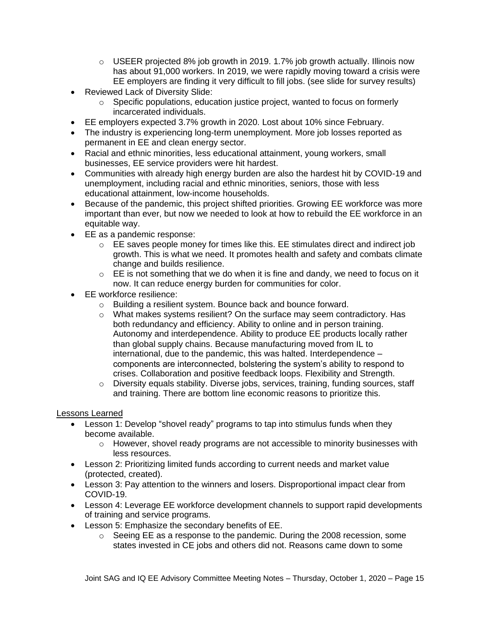- $\circ$  USEER projected 8% job growth in 2019. 1.7% job growth actually. Illinois now has about 91,000 workers. In 2019, we were rapidly moving toward a crisis were EE employers are finding it very difficult to fill jobs. (see slide for survey results)
- Reviewed Lack of Diversity Slide:
	- $\circ$  Specific populations, education justice project, wanted to focus on formerly incarcerated individuals.
- EE employers expected 3.7% growth in 2020. Lost about 10% since February.
- The industry is experiencing long-term unemployment. More job losses reported as permanent in EE and clean energy sector.
- Racial and ethnic minorities, less educational attainment, young workers, small businesses, EE service providers were hit hardest.
- Communities with already high energy burden are also the hardest hit by COVID-19 and unemployment, including racial and ethnic minorities, seniors, those with less educational attainment, low-income households.
- Because of the pandemic, this project shifted priorities. Growing EE workforce was more important than ever, but now we needed to look at how to rebuild the EE workforce in an equitable way.
- EE as a pandemic response:
	- $\circ$  EE saves people money for times like this. EE stimulates direct and indirect job growth. This is what we need. It promotes health and safety and combats climate change and builds resilience.
	- $\circ$  EE is not something that we do when it is fine and dandy, we need to focus on it now. It can reduce energy burden for communities for color.
- EE workforce resilience:
	- o Building a resilient system. Bounce back and bounce forward.
	- $\circ$  What makes systems resilient? On the surface may seem contradictory. Has both redundancy and efficiency. Ability to online and in person training. Autonomy and interdependence. Ability to produce EE products locally rather than global supply chains. Because manufacturing moved from IL to international, due to the pandemic, this was halted. Interdependence – components are interconnected, bolstering the system's ability to respond to crises. Collaboration and positive feedback loops. Flexibility and Strength.
	- o Diversity equals stability. Diverse jobs, services, training, funding sources, staff and training. There are bottom line economic reasons to prioritize this.

## Lessons Learned

- Lesson 1: Develop "shovel ready" programs to tap into stimulus funds when they become available.
	- o However, shovel ready programs are not accessible to minority businesses with less resources.
- Lesson 2: Prioritizing limited funds according to current needs and market value (protected, created).
- Lesson 3: Pay attention to the winners and losers. Disproportional impact clear from COVID-19.
- Lesson 4: Leverage EE workforce development channels to support rapid developments of training and service programs.
- Lesson 5: Emphasize the secondary benefits of EE.
	- o Seeing EE as a response to the pandemic. During the 2008 recession, some states invested in CE jobs and others did not. Reasons came down to some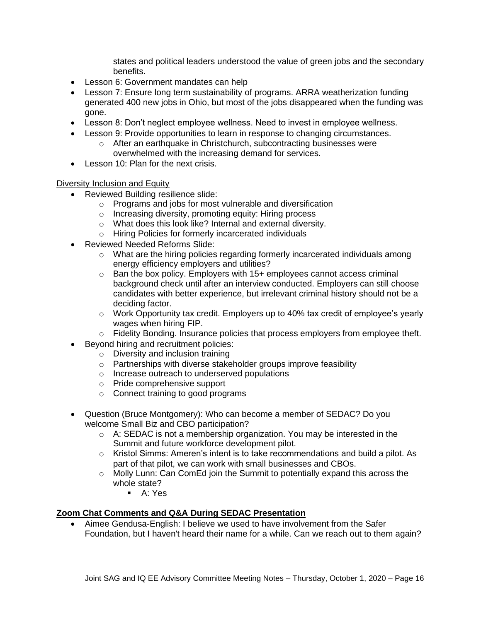states and political leaders understood the value of green jobs and the secondary benefits.

- Lesson 6: Government mandates can help
- Lesson 7: Ensure long term sustainability of programs. ARRA weatherization funding generated 400 new jobs in Ohio, but most of the jobs disappeared when the funding was gone.
- Lesson 8: Don't neglect employee wellness. Need to invest in employee wellness.
- Lesson 9: Provide opportunities to learn in response to changing circumstances.
	- $\circ$  After an earthquake in Christchurch, subcontracting businesses were overwhelmed with the increasing demand for services.
- Lesson 10: Plan for the next crisis.

#### Diversity Inclusion and Equity

- Reviewed Building resilience slide:
	- o Programs and jobs for most vulnerable and diversification
	- o Increasing diversity, promoting equity: Hiring process
	- o What does this look like? Internal and external diversity.
	- o Hiring Policies for formerly incarcerated individuals
- Reviewed Needed Reforms Slide:
	- $\circ$  What are the hiring policies regarding formerly incarcerated individuals among energy efficiency employers and utilities?
	- $\circ$  Ban the box policy. Employers with 15+ employees cannot access criminal background check until after an interview conducted. Employers can still choose candidates with better experience, but irrelevant criminal history should not be a deciding factor.
	- $\circ$  Work Opportunity tax credit. Employers up to 40% tax credit of employee's yearly wages when hiring FIP.
	- $\circ$  Fidelity Bonding. Insurance policies that process employers from employee theft.
- Beyond hiring and recruitment policies:
	- o Diversity and inclusion training
	- o Partnerships with diverse stakeholder groups improve feasibility
	- o Increase outreach to underserved populations
	- o Pride comprehensive support
	- o Connect training to good programs
- Question (Bruce Montgomery): Who can become a member of SEDAC? Do you welcome Small Biz and CBO participation?
	- $\circ$  A: SEDAC is not a membership organization. You may be interested in the Summit and future workforce development pilot.
	- o Kristol Simms: Ameren's intent is to take recommendations and build a pilot. As part of that pilot, we can work with small businesses and CBOs.
	- $\circ$  Molly Lunn: Can ComEd join the Summit to potentially expand this across the whole state?
		- A: Yes

### **Zoom Chat Comments and Q&A During SEDAC Presentation**

• Aimee Gendusa-English: I believe we used to have involvement from the Safer Foundation, but I haven't heard their name for a while. Can we reach out to them again?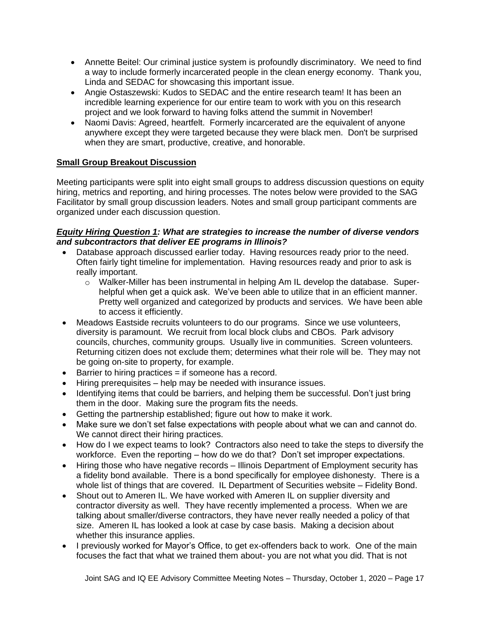- Annette Beitel: Our criminal justice system is profoundly discriminatory. We need to find a way to include formerly incarcerated people in the clean energy economy. Thank you, Linda and SEDAC for showcasing this important issue.
- Angie Ostaszewski: Kudos to SEDAC and the entire research team! It has been an incredible learning experience for our entire team to work with you on this research project and we look forward to having folks attend the summit in November!
- Naomi Davis: Agreed, heartfelt. Formerly incarcerated are the equivalent of anyone anywhere except they were targeted because they were black men. Don't be surprised when they are smart, productive, creative, and honorable.

## **Small Group Breakout Discussion**

Meeting participants were split into eight small groups to address discussion questions on equity hiring, metrics and reporting, and hiring processes. The notes below were provided to the SAG Facilitator by small group discussion leaders. Notes and small group participant comments are organized under each discussion question.

### *Equity Hiring Question 1: What are strategies to increase the number of diverse vendors and subcontractors that deliver EE programs in Illinois?*

- Database approach discussed earlier today. Having resources ready prior to the need. Often fairly tight timeline for implementation. Having resources ready and prior to ask is really important.
	- o Walker-Miller has been instrumental in helping Am IL develop the database. Superhelpful when get a quick ask. We've been able to utilize that in an efficient manner. Pretty well organized and categorized by products and services. We have been able to access it efficiently.
- Meadows Eastside recruits volunteers to do our programs. Since we use volunteers, diversity is paramount. We recruit from local block clubs and CBOs. Park advisory councils, churches, community groups. Usually live in communities. Screen volunteers. Returning citizen does not exclude them; determines what their role will be. They may not be going on-site to property, for example.
- Barrier to hiring practices = if someone has a record.
- Hiring prerequisites help may be needed with insurance issues.
- Identifying items that could be barriers, and helping them be successful. Don't just bring them in the door. Making sure the program fits the needs.
- Getting the partnership established; figure out how to make it work.
- Make sure we don't set false expectations with people about what we can and cannot do. We cannot direct their hiring practices.
- How do I we expect teams to look? Contractors also need to take the steps to diversify the workforce. Even the reporting – how do we do that? Don't set improper expectations.
- Hiring those who have negative records Illinois Department of Employment security has a fidelity bond available. There is a bond specifically for employee dishonesty. There is a whole list of things that are covered. IL Department of Securities website – Fidelity Bond.
- Shout out to Ameren IL. We have worked with Ameren IL on supplier diversity and contractor diversity as well. They have recently implemented a process. When we are talking about smaller/diverse contractors, they have never really needed a policy of that size. Ameren IL has looked a look at case by case basis. Making a decision about whether this insurance applies.
- I previously worked for Mayor's Office, to get ex-offenders back to work. One of the main focuses the fact that what we trained them about- you are not what you did. That is not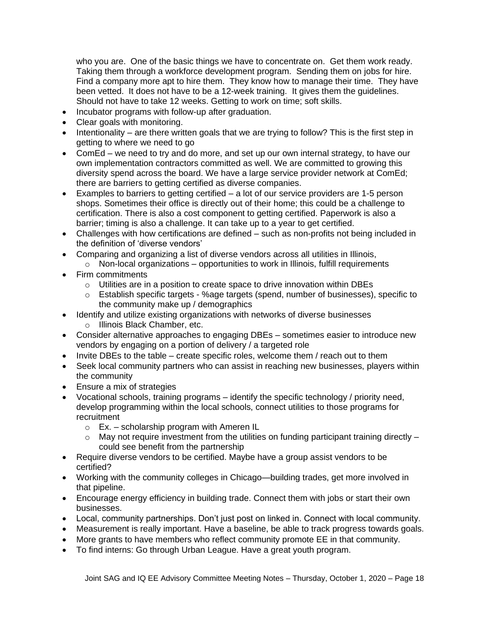who you are. One of the basic things we have to concentrate on. Get them work ready. Taking them through a workforce development program. Sending them on jobs for hire. Find a company more apt to hire them. They know how to manage their time. They have been vetted. It does not have to be a 12-week training. It gives them the guidelines. Should not have to take 12 weeks. Getting to work on time; soft skills.

- Incubator programs with follow-up after graduation.
- Clear goals with monitoring.
- Intentionality are there written goals that we are trying to follow? This is the first step in getting to where we need to go
- ComEd we need to try and do more, and set up our own internal strategy, to have our own implementation contractors committed as well. We are committed to growing this diversity spend across the board. We have a large service provider network at ComEd; there are barriers to getting certified as diverse companies.
- Examples to barriers to getting certified a lot of our service providers are 1-5 person shops. Sometimes their office is directly out of their home; this could be a challenge to certification. There is also a cost component to getting certified. Paperwork is also a barrier; timing is also a challenge. It can take up to a year to get certified.
- Challenges with how certifications are defined such as non-profits not being included in the definition of 'diverse vendors'
- Comparing and organizing a list of diverse vendors across all utilities in Illinois,
	- $\circ$  Non-local organizations opportunities to work in Illinois, fulfill requirements
- Firm commitments
	- o Utilities are in a position to create space to drive innovation within DBEs
	- o Establish specific targets %age targets (spend, number of businesses), specific to the community make up / demographics
- Identify and utilize existing organizations with networks of diverse businesses
	- o Illinois Black Chamber, etc.
- Consider alternative approaches to engaging DBEs sometimes easier to introduce new vendors by engaging on a portion of delivery / a targeted role
- Invite DBEs to the table create specific roles, welcome them / reach out to them
- Seek local community partners who can assist in reaching new businesses, players within the community
- Ensure a mix of strategies
- Vocational schools, training programs identify the specific technology / priority need, develop programming within the local schools, connect utilities to those programs for recruitment
	- o Ex. scholarship program with Ameren IL
	- $\circ$  May not require investment from the utilities on funding participant training directly could see benefit from the partnership
- Require diverse vendors to be certified. Maybe have a group assist vendors to be certified?
- Working with the community colleges in Chicago—building trades, get more involved in that pipeline.
- Encourage energy efficiency in building trade. Connect them with jobs or start their own businesses.
- Local, community partnerships. Don't just post on linked in. Connect with local community.
- Measurement is really important. Have a baseline, be able to track progress towards goals.
- More grants to have members who reflect community promote EE in that community.
- To find interns: Go through Urban League. Have a great youth program.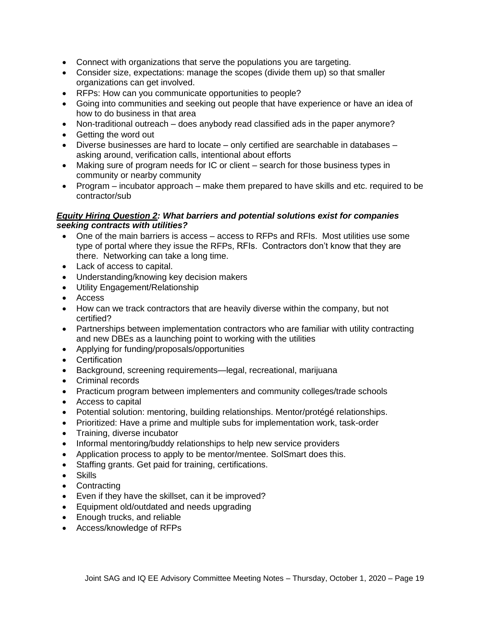- Connect with organizations that serve the populations you are targeting.
- Consider size, expectations: manage the scopes (divide them up) so that smaller organizations can get involved.
- RFPs: How can you communicate opportunities to people?
- Going into communities and seeking out people that have experience or have an idea of how to do business in that area
- Non-traditional outreach does anybody read classified ads in the paper anymore?
- Getting the word out
- Diverse businesses are hard to locate only certified are searchable in databases asking around, verification calls, intentional about efforts
- Making sure of program needs for IC or client search for those business types in community or nearby community
- Program incubator approach make them prepared to have skills and etc. required to be contractor/sub

### *Equity Hiring Question 2: What barriers and potential solutions exist for companies seeking contracts with utilities?*

- One of the main barriers is access access to RFPs and RFIs. Most utilities use some type of portal where they issue the RFPs, RFIs. Contractors don't know that they are there. Networking can take a long time.
- Lack of access to capital.
- Understanding/knowing key decision makers
- Utility Engagement/Relationship
- Access
- How can we track contractors that are heavily diverse within the company, but not certified?
- Partnerships between implementation contractors who are familiar with utility contracting and new DBEs as a launching point to working with the utilities
- Applying for funding/proposals/opportunities
- Certification
- Background, screening requirements—legal, recreational, marijuana
- Criminal records
- Practicum program between implementers and community colleges/trade schools
- Access to capital
- Potential solution: mentoring, building relationships. Mentor/protégé relationships.
- Prioritized: Have a prime and multiple subs for implementation work, task-order
- Training, diverse incubator
- Informal mentoring/buddy relationships to help new service providers
- Application process to apply to be mentor/mentee. SolSmart does this.
- Staffing grants. Get paid for training, certifications.
- Skills
- Contracting
- Even if they have the skillset, can it be improved?
- Equipment old/outdated and needs upgrading
- Enough trucks, and reliable
- Access/knowledge of RFPs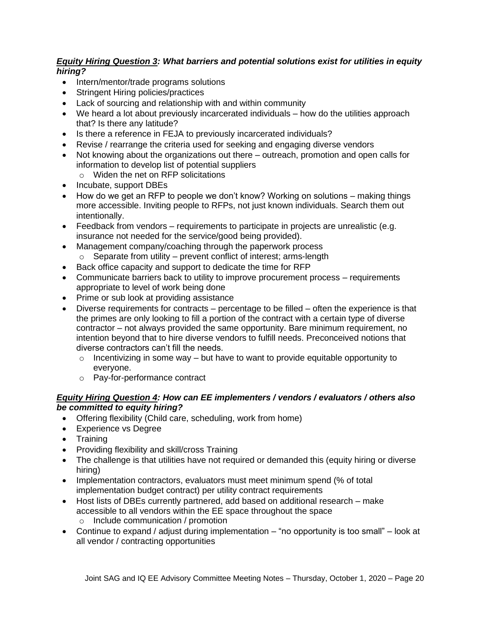### *Equity Hiring Question 3: What barriers and potential solutions exist for utilities in equity hiring?*

- Intern/mentor/trade programs solutions
- Stringent Hiring policies/practices
- Lack of sourcing and relationship with and within community
- We heard a lot about previously incarcerated individuals how do the utilities approach that? Is there any latitude?
- Is there a reference in FEJA to previously incarcerated individuals?
- Revise / rearrange the criteria used for seeking and engaging diverse vendors
- Not knowing about the organizations out there outreach, promotion and open calls for information to develop list of potential suppliers
	- o Widen the net on RFP solicitations
- Incubate, support DBEs
- How do we get an RFP to people we don't know? Working on solutions making things more accessible. Inviting people to RFPs, not just known individuals. Search them out intentionally.
- Feedback from vendors requirements to participate in projects are unrealistic (e.g. insurance not needed for the service/good being provided).
- Management company/coaching through the paperwork process  $\circ$  Separate from utility – prevent conflict of interest; arms-length
- Back office capacity and support to dedicate the time for RFP
- Communicate barriers back to utility to improve procurement process requirements appropriate to level of work being done
- Prime or sub look at providing assistance
- Diverse requirements for contracts percentage to be filled often the experience is that the primes are only looking to fill a portion of the contract with a certain type of diverse contractor – not always provided the same opportunity. Bare minimum requirement, no intention beyond that to hire diverse vendors to fulfill needs. Preconceived notions that diverse contractors can't fill the needs.
	- o Incentivizing in some way but have to want to provide equitable opportunity to everyone.
	- o Pay-for-performance contract

### *Equity Hiring Question 4: How can EE implementers / vendors / evaluators / others also be committed to equity hiring?*

- Offering flexibility (Child care, scheduling, work from home)
- Experience vs Degree
- Training
- Providing flexibility and skill/cross Training
- The challenge is that utilities have not required or demanded this (equity hiring or diverse hiring)
- Implementation contractors, evaluators must meet minimum spend (% of total implementation budget contract) per utility contract requirements
- Host lists of DBEs currently partnered, add based on additional research make accessible to all vendors within the EE space throughout the space
	- o Include communication / promotion
- Continue to expand / adjust during implementation  $-$  "no opportunity is too small" look at all vendor / contracting opportunities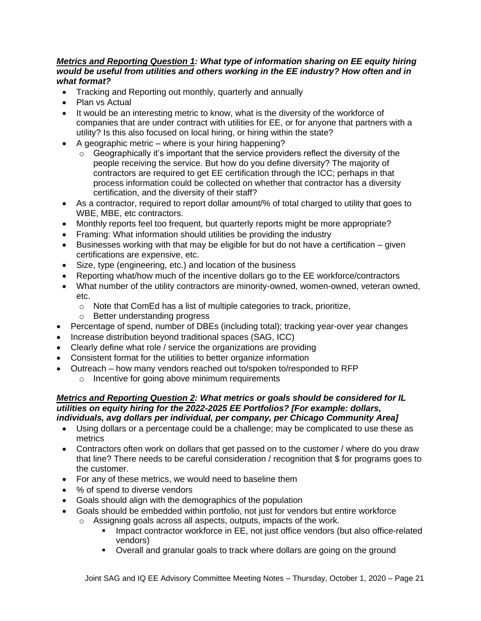### *Metrics and Reporting Question 1: What type of information sharing on EE equity hiring would be useful from utilities and others working in the EE industry? How often and in what format?*

- Tracking and Reporting out monthly, quarterly and annually
- Plan vs Actual
- It would be an interesting metric to know, what is the diversity of the workforce of companies that are under contract with utilities for EE, or for anyone that partners with a utility? Is this also focused on local hiring, or hiring within the state?
- A geographic metric where is your hiring happening?
	- o Geographically it's important that the service providers reflect the diversity of the people receiving the service. But how do you define diversity? The majority of contractors are required to get EE certification through the ICC; perhaps in that process information could be collected on whether that contractor has a diversity certification, and the diversity of their staff?
- As a contractor, required to report dollar amount/% of total charged to utility that goes to WBE, MBE, etc contractors.
- Monthly reports feel too frequent, but quarterly reports might be more appropriate?
- Framing: What information should utilities be providing the industry
- Businesses working with that may be eligible for but do not have a certification given certifications are expensive, etc.
- Size, type (engineering, etc.) and location of the business
- Reporting what/how much of the incentive dollars go to the EE workforce/contractors
- What number of the utility contractors are minority-owned, women-owned, veteran owned, etc.
	- o Note that ComEd has a list of multiple categories to track, prioritize,
	- o Better understanding progress
- Percentage of spend, number of DBEs (including total); tracking year-over year changes
- Increase distribution beyond traditional spaces (SAG, ICC)
- Clearly define what role / service the organizations are providing
- Consistent format for the utilities to better organize information
- Outreach how many vendors reached out to/spoken to/responded to RFP
	- o Incentive for going above minimum requirements

#### *Metrics and Reporting Question 2: What metrics or goals should be considered for IL utilities on equity hiring for the 2022-2025 EE Portfolios? [For example: dollars, individuals, avg dollars per individual, per company, per Chicago Community Area]*

- Using dollars or a percentage could be a challenge; may be complicated to use these as metrics
- Contractors often work on dollars that get passed on to the customer / where do you draw that line? There needs to be careful consideration / recognition that \$ for programs goes to the customer.
- For any of these metrics, we would need to baseline them
- % of spend to diverse vendors
- Goals should align with the demographics of the population
- Goals should be embedded within portfolio, not just for vendors but entire workforce
	- o Assigning goals across all aspects, outputs, impacts of the work.
		- **■** Impact contractor workforce in EE, not just office vendors (but also office-related vendors)
		- Overall and granular goals to track where dollars are going on the ground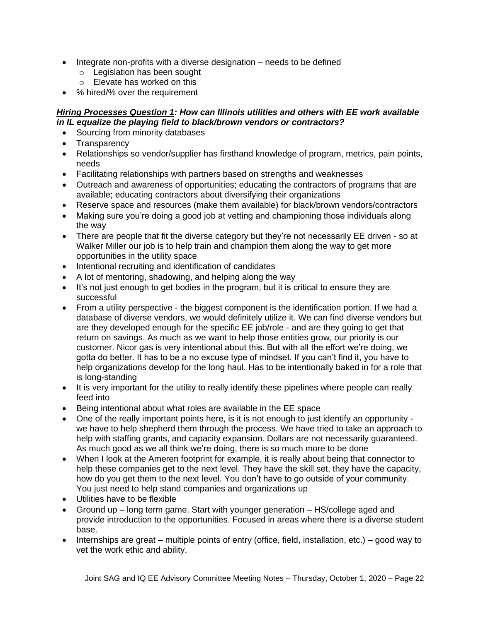- Integrate non-profits with a diverse designation needs to be defined
	- o Legislation has been sought
	- o Elevate has worked on this
- % hired/% over the requirement

### *Hiring Processes Question 1: How can Illinois utilities and others with EE work available in IL equalize the playing field to black/brown vendors or contractors?*

- Sourcing from minority databases
- Transparency
- Relationships so vendor/supplier has firsthand knowledge of program, metrics, pain points, needs
- Facilitating relationships with partners based on strengths and weaknesses
- Outreach and awareness of opportunities; educating the contractors of programs that are available; educating contractors about diversifying their organizations
- Reserve space and resources (make them available) for black/brown vendors/contractors
- Making sure you're doing a good job at vetting and championing those individuals along the way
- There are people that fit the diverse category but they're not necessarily EE driven so at Walker Miller our job is to help train and champion them along the way to get more opportunities in the utility space
- Intentional recruiting and identification of candidates
- A lot of mentoring, shadowing, and helping along the way
- It's not just enough to get bodies in the program, but it is critical to ensure they are successful
- From a utility perspective the biggest component is the identification portion. If we had a database of diverse vendors, we would definitely utilize it. We can find diverse vendors but are they developed enough for the specific EE job/role - and are they going to get that return on savings. As much as we want to help those entities grow, our priority is our customer. Nicor gas is very intentional about this. But with all the effort we're doing, we gotta do better. It has to be a no excuse type of mindset. If you can't find it, you have to help organizations develop for the long haul. Has to be intentionally baked in for a role that is long-standing
- It is very important for the utility to really identify these pipelines where people can really feed into
- Being intentional about what roles are available in the EE space
- One of the really important points here, is it is not enough to just identify an opportunity we have to help shepherd them through the process. We have tried to take an approach to help with staffing grants, and capacity expansion. Dollars are not necessarily guaranteed. As much good as we all think we're doing, there is so much more to be done
- When I look at the Ameren footprint for example, it is really about being that connector to help these companies get to the next level. They have the skill set, they have the capacity, how do you get them to the next level. You don't have to go outside of your community. You just need to help stand companies and organizations up
- Utilities have to be flexible
- Ground up long term game. Start with younger generation HS/college aged and provide introduction to the opportunities. Focused in areas where there is a diverse student base.
- Internships are great multiple points of entry (office, field, installation, etc.) good way to vet the work ethic and ability.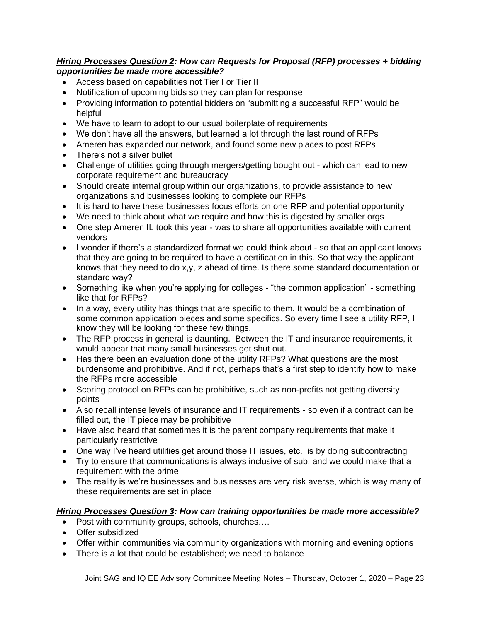### *Hiring Processes Question 2: How can Requests for Proposal (RFP) processes + bidding opportunities be made more accessible?*

- Access based on capabilities not Tier I or Tier II
- Notification of upcoming bids so they can plan for response
- Providing information to potential bidders on "submitting a successful RFP" would be helpful
- We have to learn to adopt to our usual boilerplate of requirements
- We don't have all the answers, but learned a lot through the last round of RFPs
- Ameren has expanded our network, and found some new places to post RFPs
- There's not a silver bullet
- Challenge of utilities going through mergers/getting bought out which can lead to new corporate requirement and bureaucracy
- Should create internal group within our organizations, to provide assistance to new organizations and businesses looking to complete our RFPs
- It is hard to have these businesses focus efforts on one RFP and potential opportunity
- We need to think about what we require and how this is digested by smaller orgs
- One step Ameren IL took this year was to share all opportunities available with current vendors
- I wonder if there's a standardized format we could think about so that an applicant knows that they are going to be required to have a certification in this. So that way the applicant knows that they need to do x,y, z ahead of time. Is there some standard documentation or standard way?
- Something like when you're applying for colleges "the common application" something like that for RFPs?
- In a way, every utility has things that are specific to them. It would be a combination of some common application pieces and some specifics. So every time I see a utility RFP, I know they will be looking for these few things.
- The RFP process in general is daunting. Between the IT and insurance requirements, it would appear that many small businesses get shut out.
- Has there been an evaluation done of the utility RFPs? What questions are the most burdensome and prohibitive. And if not, perhaps that's a first step to identify how to make the RFPs more accessible
- Scoring protocol on RFPs can be prohibitive, such as non-profits not getting diversity points
- Also recall intense levels of insurance and IT requirements so even if a contract can be filled out, the IT piece may be prohibitive
- Have also heard that sometimes it is the parent company requirements that make it particularly restrictive
- One way I've heard utilities get around those IT issues, etc. is by doing subcontracting
- Try to ensure that communications is always inclusive of sub, and we could make that a requirement with the prime
- The reality is we're businesses and businesses are very risk averse, which is way many of these requirements are set in place

## *Hiring Processes Question 3: How can training opportunities be made more accessible?*

- Post with community groups, schools, churches....
- Offer subsidized
- Offer within communities via community organizations with morning and evening options
- There is a lot that could be established; we need to balance